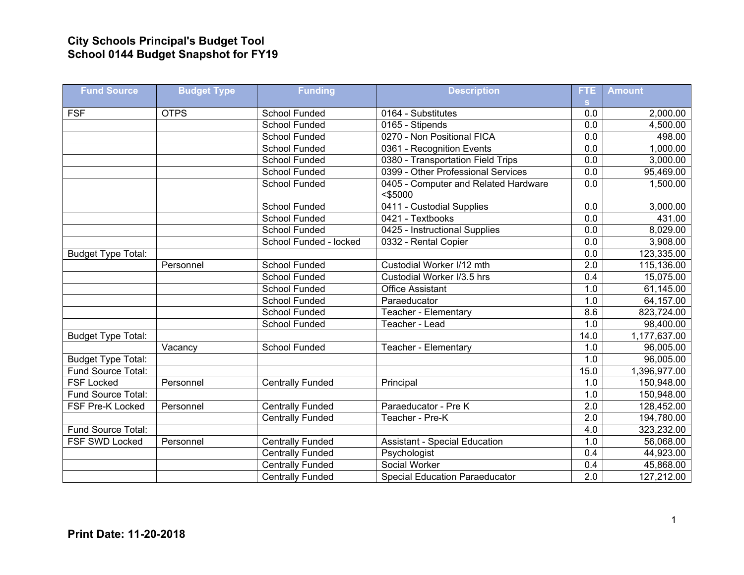## **City Schools Principal's Budget Tool School 0144 Budget Snapshot for FY19**

| <b>Fund Source</b>        | <b>Budget Type</b> | <b>Funding</b>          | <b>Description</b>                                 | FTE.             | <b>Amount</b>        |
|---------------------------|--------------------|-------------------------|----------------------------------------------------|------------------|----------------------|
| <b>FSF</b>                | <b>OTPS</b>        | <b>School Funded</b>    | 0164 - Substitutes                                 | S.<br>0.0        |                      |
|                           |                    | <b>School Funded</b>    | 0165 - Stipends                                    | $\overline{0.0}$ | 2,000.00<br>4,500.00 |
|                           |                    |                         |                                                    |                  |                      |
|                           |                    | School Funded           | 0270 - Non Positional FICA                         | 0.0              | 498.00               |
|                           |                    | <b>School Funded</b>    | 0361 - Recognition Events                          | 0.0              | 1,000.00             |
|                           |                    | School Funded           | 0380 - Transportation Field Trips                  | 0.0              | 3,000.00             |
|                           |                    | <b>School Funded</b>    | 0399 - Other Professional Services                 | 0.0              | 95,469.00            |
|                           |                    | School Funded           | 0405 - Computer and Related Hardware<br>$<$ \$5000 | 0.0              | 1,500.00             |
|                           |                    | <b>School Funded</b>    | 0411 - Custodial Supplies                          | 0.0              | 3,000.00             |
|                           |                    | School Funded           | 0421 - Textbooks                                   | 0.0              | 431.00               |
|                           |                    | School Funded           | 0425 - Instructional Supplies                      | 0.0              | 8,029.00             |
|                           |                    | School Funded - locked  | 0332 - Rental Copier                               | 0.0              | 3,908.00             |
| <b>Budget Type Total:</b> |                    |                         |                                                    | 0.0              | 123,335.00           |
|                           | Personnel          | School Funded           | Custodial Worker I/12 mth                          | 2.0              | 115,136.00           |
|                           |                    | <b>School Funded</b>    | Custodial Worker I/3.5 hrs                         | $\overline{0.4}$ | 15,075.00            |
|                           |                    | School Funded           | <b>Office Assistant</b>                            | 1.0              | 61,145.00            |
|                           |                    | <b>School Funded</b>    | Paraeducator                                       | 1.0              | 64,157.00            |
|                           |                    | <b>School Funded</b>    | Teacher - Elementary                               | 8.6              | 823,724.00           |
|                           |                    | School Funded           | Teacher - Lead                                     | 1.0              | 98,400.00            |
| <b>Budget Type Total:</b> |                    |                         |                                                    | 14.0             | 1,177,637.00         |
|                           | Vacancy            | <b>School Funded</b>    | Teacher - Elementary                               | 1.0              | 96,005.00            |
| <b>Budget Type Total:</b> |                    |                         |                                                    | 1.0              | 96,005.00            |
| Fund Source Total:        |                    |                         |                                                    | 15.0             | 1,396,977.00         |
| <b>FSF Locked</b>         | Personnel          | <b>Centrally Funded</b> | Principal                                          | 1.0              | 150,948.00           |
| Fund Source Total:        |                    |                         |                                                    | 1.0              | 150,948.00           |
| FSF Pre-K Locked          | Personnel          | <b>Centrally Funded</b> | Paraeducator - Pre K                               | 2.0              | 128,452.00           |
|                           |                    | <b>Centrally Funded</b> | Teacher - Pre-K                                    | $\overline{2.0}$ | 194,780.00           |
| Fund Source Total:        |                    |                         |                                                    | 4.0              | 323,232.00           |
| FSF SWD Locked            | Personnel          | <b>Centrally Funded</b> | <b>Assistant - Special Education</b>               | 1.0              | 56,068.00            |
|                           |                    | <b>Centrally Funded</b> | Psychologist                                       | $\overline{0.4}$ | 44,923.00            |
|                           |                    | <b>Centrally Funded</b> | Social Worker                                      | 0.4              | 45,868.00            |
|                           |                    | <b>Centrally Funded</b> | <b>Special Education Paraeducator</b>              | $\overline{2.0}$ | 127,212.00           |